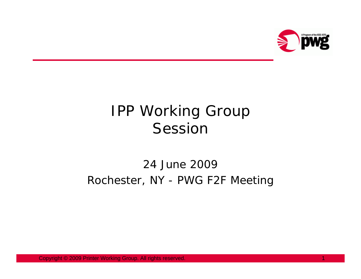

## IPP Working Group Session

## 24 June 2009 Rochester, NY - PWG F2F Meeting

Copyright © 2009 Printer Working Group. All rights reserved. 1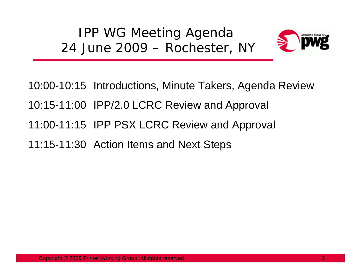IPP WG Meeting Agenda 24 June 2009 – Rochester, NY



10:00-10:15 Introductions, Minute Takers, Agenda Review 10:15-11:00 IPP/2.0 LCRC Review and Approval 11:00-11:15 IPP PSX LCRC Review and Approval 11:15-11:30 Action Items and Next Steps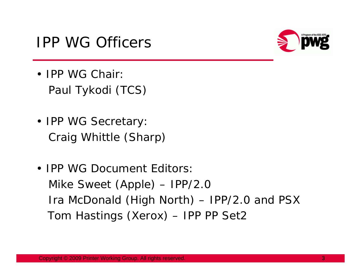



- IPP WG Chair Paul Tykodi (TCS)
- IPP WG Secretary Craig Whittle (Sharp)
- IPP WG Document Editors Mike Sweet (Apple) – IPP/2.0 Ira McDonald (High North) – IPP/2.0 and PSX Tom Hastings (Xerox) – IPP PP Set2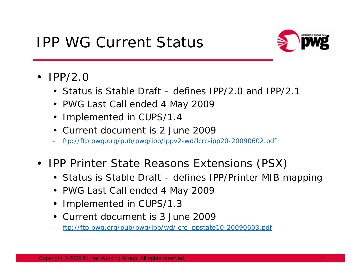## IPP WG Current Status



- IPP/2.0
	- Status is Stable Draft defines IPP/2.0 and IPP/2.1
	- PWG Last Call ended 4 May 2009
	- Implemented in CUPS/1.4
	- Current document is 2 June 2009
	- ftp://ftp.pwg.org/pub/pwg/ipp/ippv2-wd/lcrc-ipp20-20090602.pdf
- IPP Printer State Reasons Extensions (PSX)
	- Status is Stable Draft defines IPP/Printer MIB mapping
	- PWG Last Call ended 4 May 2009
	- Implemented in CUPS/1.3
	- Current document is 3 June 2009
	- ftp://ftp.pwg.org/pub/pwg/ipp/wd/lcrc-ippstate10-20090603.pdf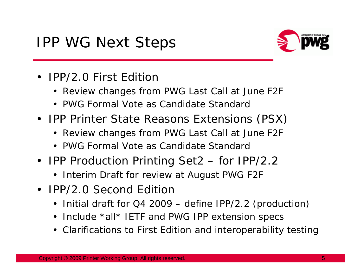

- IPP/2.0 First Edition
	- Review changes from PWG Last Call at June F2F
	- PWG Formal Vote as Candidate Standard
- IPP Printer State Reasons Extensions (PSX)
	- Review changes from PWG Last Call at June F2F
	- PWG Formal Vote as Candidate Standard
- IPP Production Printing Set2 for IPP/2.2
	- Interim Draft for review at August PWG F2F
- IPP/2.0 Second Edition
	- Initial draft for Q4 2009 define IPP/2.2 (production)
	- Include \*all\* IETF and PWG IPP extension specs
	- Clarifications to First Edition and interoperability testing